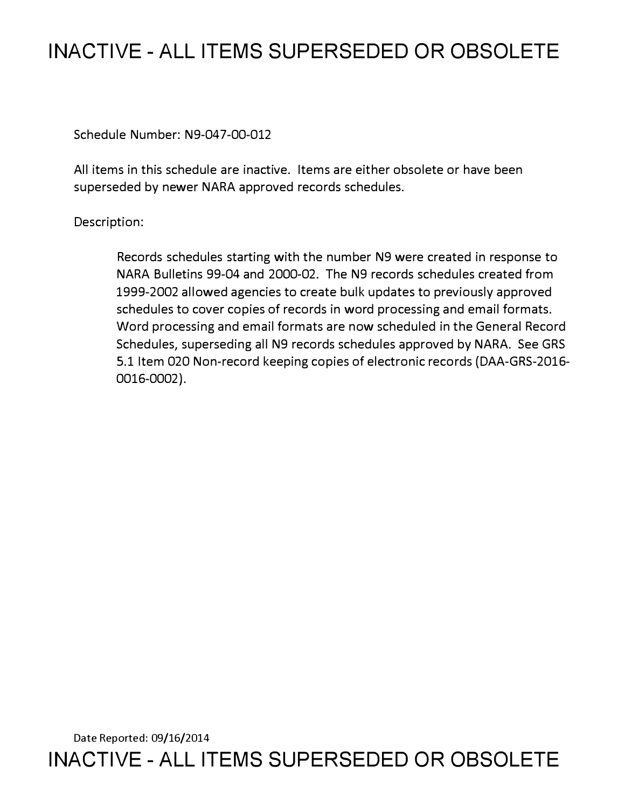## **INACTIVE - ALL ITEMS SUPERSEDED OR OBSOLETE**

Schedule Number: N9-047-00-012

All items in this schedule are inactive. Items are either obsolete or have been superseded by newer NARA approved records schedules.

Description:

Records schedules starting with the number N9 were created in response to NARA Bulletins 99-04 and 2000-02. The N9 records schedules created from 1999-2002 allowed agencies to create bulk updates to previously approved schedules to cover copies of records in word processing and email formats. Word processing and email formats are now scheduled in the General Record Schedules, superseding all N9 records schedules approved by NARA. See GRS 5.1 Item 020 Non-record keeping copies of electronic records (DAA-GRS-2016- 0016-0002).

Date Reported: 09/16/2014 **INACTIVE - ALL ITEMS SUPERSEDED OR OBSOLETE**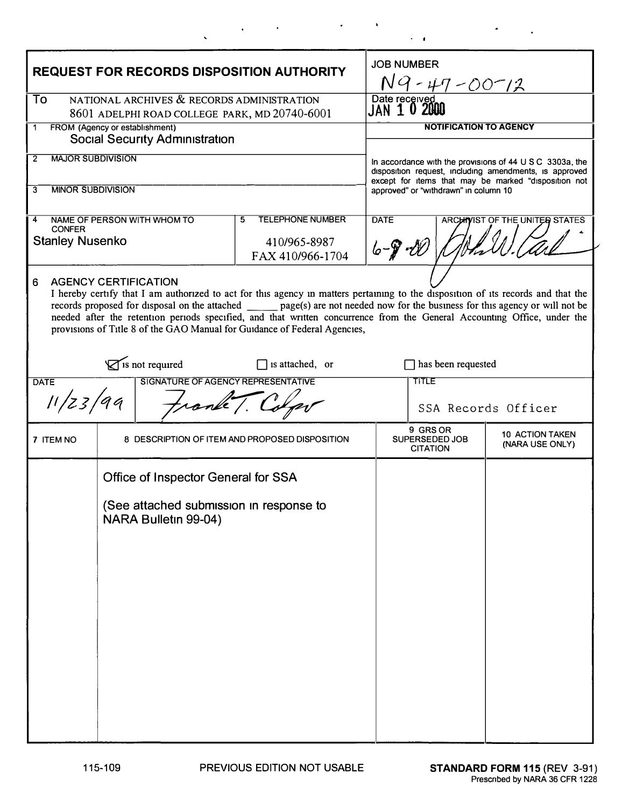| <b>REQUEST FOR RECORDS DISPOSITION AUTHORITY</b>                                                                                                                                                                                                                                                                                                                                                                                                                                                                   |                                                                 |                                                |                                                                                                                              | <b>JOB NUMBER</b><br>N9-47-00-12              |                                           |  |
|--------------------------------------------------------------------------------------------------------------------------------------------------------------------------------------------------------------------------------------------------------------------------------------------------------------------------------------------------------------------------------------------------------------------------------------------------------------------------------------------------------------------|-----------------------------------------------------------------|------------------------------------------------|------------------------------------------------------------------------------------------------------------------------------|-----------------------------------------------|-------------------------------------------|--|
| NATIONAL ARCHIVES & RECORDS ADMINISTRATION<br>To<br>8601 ADELPHI ROAD COLLEGE PARK, MD 20740-6001                                                                                                                                                                                                                                                                                                                                                                                                                  |                                                                 |                                                | Date received<br>JAN 10 2000                                                                                                 |                                               |                                           |  |
| FROM (Agency or establishment)<br>1                                                                                                                                                                                                                                                                                                                                                                                                                                                                                |                                                                 |                                                | <b>NOTIFICATION TO AGENCY</b>                                                                                                |                                               |                                           |  |
| <b>Social Security Administration</b><br><b>MAJOR SUBDIVISION</b>                                                                                                                                                                                                                                                                                                                                                                                                                                                  |                                                                 |                                                |                                                                                                                              |                                               |                                           |  |
| 2                                                                                                                                                                                                                                                                                                                                                                                                                                                                                                                  |                                                                 |                                                | In accordance with the provisions of $44 \cup S \cup C$ 3303a, the<br>disposition request, including amendments, is approved |                                               |                                           |  |
| <b>MINOR SUBDIVISION</b><br>3                                                                                                                                                                                                                                                                                                                                                                                                                                                                                      |                                                                 |                                                | except for items that may be marked "disposition not<br>approved" or "withdrawn" in column 10                                |                                               |                                           |  |
| 4                                                                                                                                                                                                                                                                                                                                                                                                                                                                                                                  | NAME OF PERSON WITH WHOM TO                                     | <b>TELEPHONE NUMBER</b><br>5                   | <b>DATE</b><br>ARCHIVIST OF THE UNITED STATES                                                                                |                                               |                                           |  |
| <b>CONFER</b><br><b>Stanley Nusenko</b>                                                                                                                                                                                                                                                                                                                                                                                                                                                                            |                                                                 | 410/965-8987<br>FAX 410/966-1704               | $6 - 9 - 10$                                                                                                                 |                                               |                                           |  |
| <b>AGENCY CERTIFICATION</b><br>6<br>I hereby certify that I am authorized to act for this agency in matters pertaining to the disposition of its records and that the<br>records proposed for disposal on the attached _______ page(s) are not needed now for the business for this agency or will not be<br>needed after the retention periods specified, and that written concurrence from the General Accounting Office, under the<br>provisions of Title 8 of the GAO Manual for Guidance of Federal Agencies, |                                                                 |                                                |                                                                                                                              |                                               |                                           |  |
| is not required<br>$\Box$ is attached, or                                                                                                                                                                                                                                                                                                                                                                                                                                                                          |                                                                 |                                                | $\Box$ has been requested                                                                                                    |                                               |                                           |  |
| SIGNATURE OF AGENCY REPRESENTATIVE<br><b>DATE</b><br>11/z3/99<br>trank T. Colp                                                                                                                                                                                                                                                                                                                                                                                                                                     |                                                                 |                                                | TITLE<br>SSA Records Officer                                                                                                 |                                               |                                           |  |
| 7 ITEM NO                                                                                                                                                                                                                                                                                                                                                                                                                                                                                                          |                                                                 | 8 DESCRIPTION OF ITEM AND PROPOSED DISPOSITION |                                                                                                                              | 9 GRS OR<br>SUPERSEDED JOB<br><b>CITATION</b> | <b>10 ACTION TAKEN</b><br>(NARA USE ONLY) |  |
|                                                                                                                                                                                                                                                                                                                                                                                                                                                                                                                    | Office of Inspector General for SSA                             |                                                |                                                                                                                              |                                               |                                           |  |
|                                                                                                                                                                                                                                                                                                                                                                                                                                                                                                                    | (See attached submission in response to<br>NARA Bulletin 99-04) |                                                |                                                                                                                              |                                               |                                           |  |
|                                                                                                                                                                                                                                                                                                                                                                                                                                                                                                                    |                                                                 |                                                |                                                                                                                              |                                               |                                           |  |
|                                                                                                                                                                                                                                                                                                                                                                                                                                                                                                                    |                                                                 |                                                |                                                                                                                              |                                               |                                           |  |
|                                                                                                                                                                                                                                                                                                                                                                                                                                                                                                                    |                                                                 |                                                |                                                                                                                              |                                               |                                           |  |
|                                                                                                                                                                                                                                                                                                                                                                                                                                                                                                                    |                                                                 |                                                |                                                                                                                              |                                               |                                           |  |
|                                                                                                                                                                                                                                                                                                                                                                                                                                                                                                                    |                                                                 |                                                |                                                                                                                              |                                               |                                           |  |
|                                                                                                                                                                                                                                                                                                                                                                                                                                                                                                                    |                                                                 |                                                |                                                                                                                              |                                               |                                           |  |

 $\mathcal{L}^{\mathcal{L}}(\mathcal{L}^{\mathcal{L}})$  and  $\mathcal{L}^{\mathcal{L}}(\mathcal{L}^{\mathcal{L}})$  and  $\mathcal{L}^{\mathcal{L}}(\mathcal{L}^{\mathcal{L}})$ 

 $\bar{\mathbf{v}}$ 

 $\cdot$   $\cdot$ 

 $\bullet$ 

 $\sim 10^{11}$  km

 $\epsilon_{\rm{max}}$